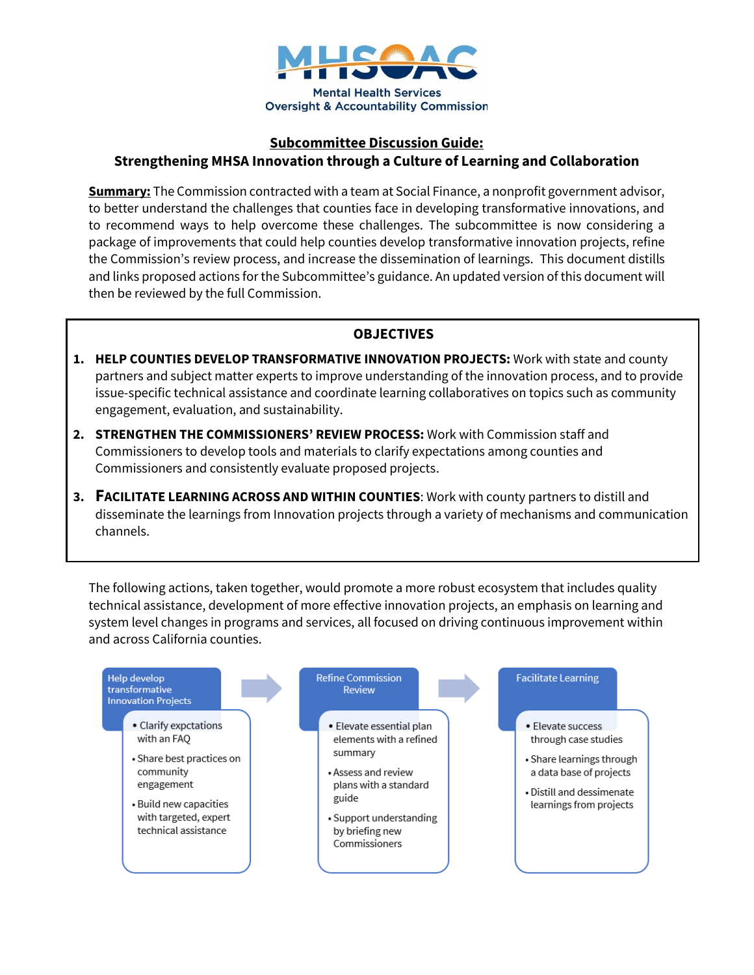

### **Subcommittee Discussion Guide: Strengthening MHSA Innovation through a Culture of Learning and Collaboration**

**Summary:** The Commission contracted with a team at Social Finance, a nonprofit government advisor, to better understand the challenges that counties face in developing transformative innovations, and to recommend ways to help overcome these challenges. The subcommittee is now considering a package of improvements that could help counties develop transformative innovation projects, refine the Commission's review process, and increase the dissemination of learnings. This document distills and links proposed actions for the Subcommittee's guidance. An updated version of this document will then be reviewed by the full Commission.

#### **OBJECTIVES**

- **1. HELP COUNTIES DEVELOP TRANSFORMATIVE INNOVATION PROJECTS:** Work with state and county partners and subject matter experts to improve understanding of the innovation process, and to provide issue-specific technical assistance and coordinate learning collaboratives on topics such as community engagement, evaluation, and sustainability.
- **2. STRENGTHEN THE COMMISSIONERS' REVIEW PROCESS:** Work with Commission staff and Commissioners to develop tools and materials to clarify expectations among counties and Commissioners and consistently evaluate proposed projects.
- **3. FACILITATE LEARNING ACROSS AND WITHIN COUNTIES**: Work with county partners to distill and disseminate the learnings from Innovation projects through a variety of mechanisms and communication channels.

The following actions, taken together, would promote a more robust ecosystem that includes quality technical assistance, development of more effective innovation projects, an emphasis on learning and system level changes in programs and services, all focused on driving continuous improvement within and across California counties.

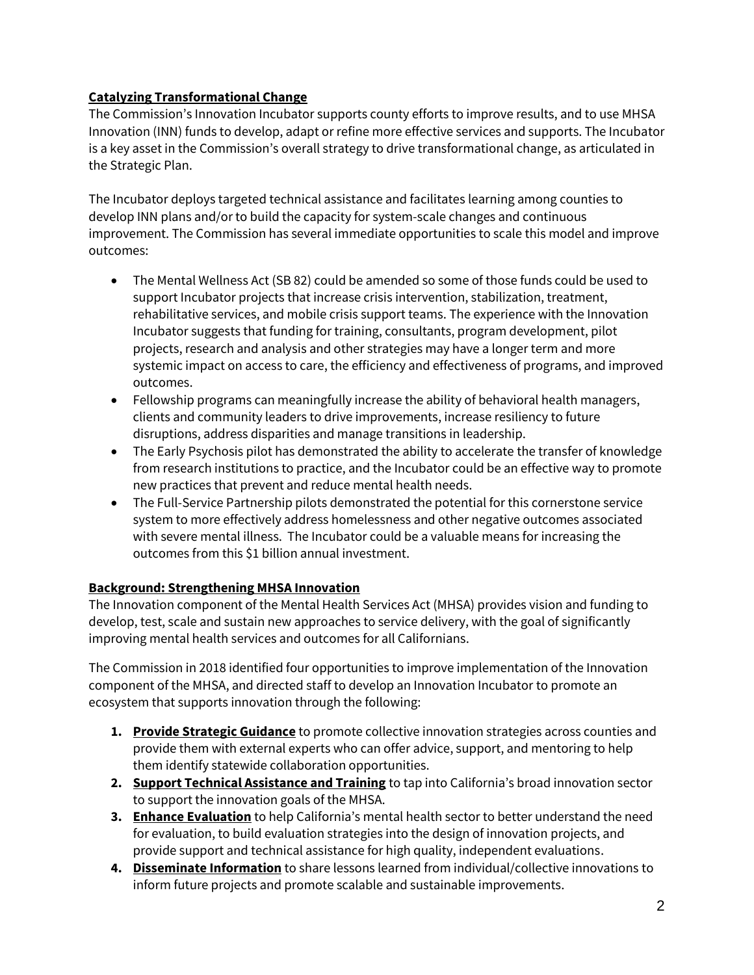# **Catalyzing Transformational Change**

The Commission's Innovation Incubator supports county efforts to improve results, and to use MHSA Innovation (INN) funds to develop, adapt or refine more effective services and supports. The Incubator is a key asset in the Commission's overall strategy to drive transformational change, as articulated in the Strategic Plan.

The Incubator deploys targeted technical assistance and facilitates learning among counties to develop INN plans and/or to build the capacity for system-scale changes and continuous improvement. The Commission has several immediate opportunities to scale this model and improve outcomes:

- The Mental Wellness Act (SB 82) could be amended so some of those funds could be used to support Incubator projects that increase crisis intervention, stabilization, treatment, rehabilitative services, and mobile crisis support teams. The experience with the Innovation Incubator suggests that funding for training, consultants, program development, pilot projects, research and analysis and other strategies may have a longer term and more systemic impact on access to care, the efficiency and effectiveness of programs, and improved outcomes.
- Fellowship programs can meaningfully increase the ability of behavioral health managers, clients and community leaders to drive improvements, increase resiliency to future disruptions, address disparities and manage transitions in leadership.
- The Early Psychosis pilot has demonstrated the ability to accelerate the transfer of knowledge from research institutions to practice, and the Incubator could be an effective way to promote new practices that prevent and reduce mental health needs.
- The Full-Service Partnership pilots demonstrated the potential for this cornerstone service system to more effectively address homelessness and other negative outcomes associated with severe mental illness. The Incubator could be a valuable means for increasing the outcomes from this \$1 billion annual investment.

# **Background: Strengthening MHSA Innovation**

The Innovation component of the Mental Health Services Act (MHSA) provides vision and funding to develop, test, scale and sustain new approaches to service delivery, with the goal of significantly improving mental health services and outcomes for all Californians.

The Commission in 2018 identified four opportunities to improve implementation of the Innovation component of the MHSA, and directed staff to develop an Innovation Incubator to promote an ecosystem that supports innovation through the following:

- **1. Provide Strategic Guidance** to promote collective innovation strategies across counties and provide them with external experts who can offer advice, support, and mentoring to help them identify statewide collaboration opportunities.
- **2. Support Technical Assistance and Training** to tap into California's broad innovation sector to support the innovation goals of the MHSA.
- **3. Enhance Evaluation** to help California's mental health sector to better understand the need for evaluation, to build evaluation strategies into the design of innovation projects, and provide support and technical assistance for high quality, independent evaluations.
- **4. Disseminate Information** to share lessons learned from individual/collective innovations to inform future projects and promote scalable and sustainable improvements.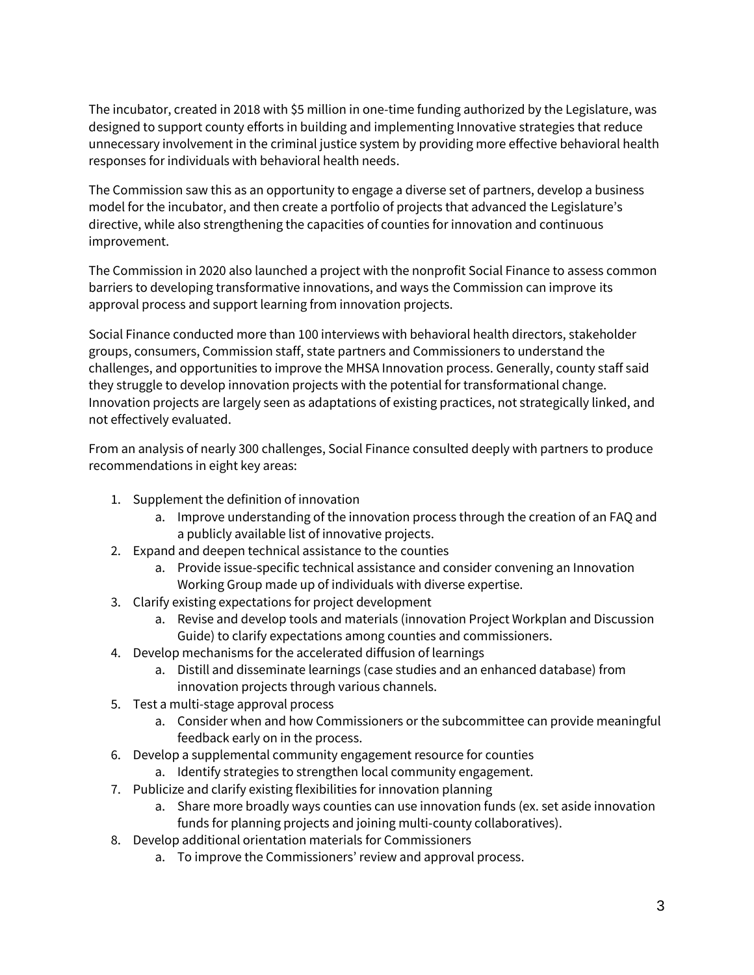The incubator, created in 2018 with \$5 million in one-time funding authorized by the Legislature, was designed to support county efforts in building and implementing Innovative strategies that reduce unnecessary involvement in the criminal justice system by providing more effective behavioral health responses for individuals with behavioral health needs.

The Commission saw this as an opportunity to engage a diverse set of partners, develop a business model for the incubator, and then create a portfolio of projects that advanced the Legislature's directive, while also strengthening the capacities of counties for innovation and continuous improvement.

The Commission in 2020 also launched a project with the nonprofit Social Finance to assess common barriers to developing transformative innovations, and ways the Commission can improve its approval process and support learning from innovation projects.

Social Finance conducted more than 100 interviews with behavioral health directors, stakeholder groups, consumers, Commission staff, state partners and Commissioners to understand the challenges, and opportunities to improve the MHSA Innovation process. Generally, county staff said they struggle to develop innovation projects with the potential for transformational change. Innovation projects are largely seen as adaptations of existing practices, not strategically linked, and not effectively evaluated.

From an analysis of nearly 300 challenges, Social Finance consulted deeply with partners to produce recommendations in eight key areas:

- 1. Supplement the definition of innovation
	- a. Improve understanding of the innovation process through the creation of an FAQ and a publicly available list of innovative projects.
- 2. Expand and deepen technical assistance to the counties
	- a. Provide issue-specific technical assistance and consider convening an Innovation Working Group made up of individuals with diverse expertise.
- 3. Clarify existing expectations for project development
	- a. Revise and develop tools and materials (innovation Project Workplan and Discussion Guide) to clarify expectations among counties and commissioners.
- 4. Develop mechanisms for the accelerated diffusion of learnings
	- a. Distill and disseminate learnings (case studies and an enhanced database) from innovation projects through various channels.
- 5. Test a multi-stage approval process
	- a. Consider when and how Commissioners or the subcommittee can provide meaningful feedback early on in the process.
- 6. Develop a supplemental community engagement resource for counties
	- a. Identify strategies to strengthen local community engagement.
- 7. Publicize and clarify existing flexibilities for innovation planning
	- a. Share more broadly ways counties can use innovation funds (ex. set aside innovation funds for planning projects and joining multi-county collaboratives).
- 8. Develop additional orientation materials for Commissioners
	- a. To improve the Commissioners' review and approval process.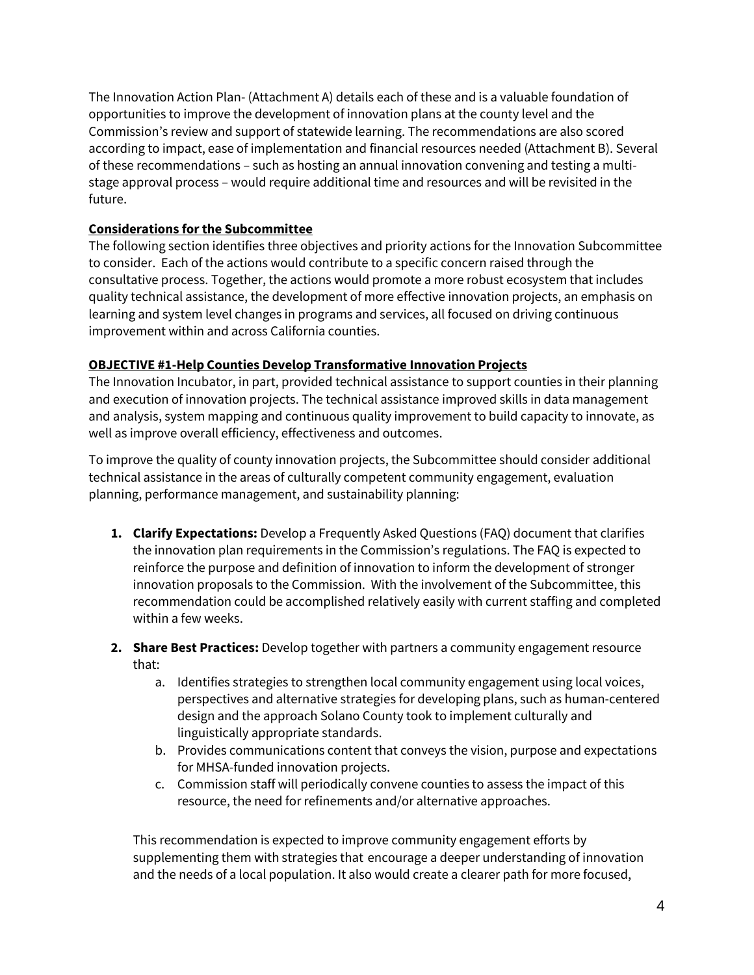The Innovation Action Plan- (Attachment A) details each of these and is a valuable foundation of opportunities to improve the development of innovation plans at the county level and the Commission's review and support of statewide learning. The recommendations are also scored according to impact, ease of implementation and financial resources needed (Attachment B). Several of these recommendations – such as hosting an annual innovation convening and testing a multistage approval process – would require additional time and resources and will be revisited in the future.

### **Considerations for the Subcommittee**

The following section identifies three objectives and priority actions for the Innovation Subcommittee to consider. Each of the actions would contribute to a specific concern raised through the consultative process. Together, the actions would promote a more robust ecosystem that includes quality technical assistance, the development of more effective innovation projects, an emphasis on learning and system level changes in programs and services, all focused on driving continuous improvement within and across California counties.

#### **OBJECTIVE #1-Help Counties Develop Transformative Innovation Projects**

The Innovation Incubator, in part, provided technical assistance to support counties in their planning and execution of innovation projects. The technical assistance improved skills in data management and analysis, system mapping and continuous quality improvement to build capacity to innovate, as well as improve overall efficiency, effectiveness and outcomes.

To improve the quality of county innovation projects, the Subcommittee should consider additional technical assistance in the areas of culturally competent community engagement, evaluation planning, performance management, and sustainability planning:

- **1. Clarify Expectations:** Develop a Frequently Asked Questions (FAQ) document that clarifies the innovation plan requirements in the Commission's regulations. The FAQ is expected to reinforce the purpose and definition of innovation to inform the development of stronger innovation proposals to the Commission. With the involvement of the Subcommittee, this recommendation could be accomplished relatively easily with current staffing and completed within a few weeks.
- **2. Share Best Practices:** Develop together with partners a community engagement resource that:
	- a. Identifies strategies to strengthen local community engagement using local voices, perspectives and alternative strategies for developing plans, such as human-centered design and the approach Solano County took to implement culturally and linguistically appropriate standards.
	- b. Provides communications content that conveys the vision, purpose and expectations for MHSA-funded innovation projects.
	- c. Commission staff will periodically convene counties to assess the impact of this resource, the need for refinements and/or alternative approaches.

This recommendation is expected to improve community engagement efforts by supplementing them with strategies that encourage a deeper understanding of innovation and the needs of a local population. It also would create a clearer path for more focused,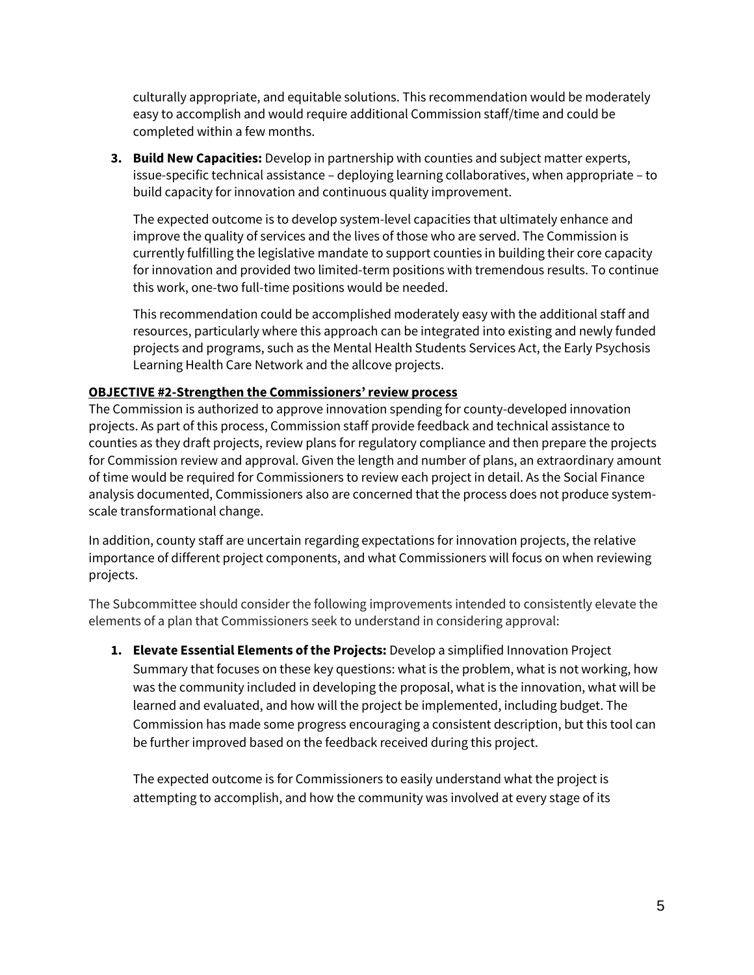culturally appropriate, and equitable solutions. This recommendation would be moderately easy to accomplish and would require additional Commission staff/time and could be completed within a few months.

**3. Build New Capacities:** Develop in partnership with counties and subject matter experts, issue-specific technical assistance – deploying learning collaboratives, when appropriate – to build capacity for innovation and continuous quality improvement.

The expected outcome is to develop system-level capacities that ultimately enhance and improve the quality of services and the lives of those who are served. The Commission is currently fulfilling the legislative mandate to support counties in building their core capacity for innovation and provided two limited-term positions with tremendous results. To continue this work, one-two full-time positions would be needed.

This recommendation could be accomplished moderately easy with the additional staff and resources, particularly where this approach can be integrated into existing and newly funded projects and programs, such as the Mental Health Students Services Act, the Early Psychosis Learning Health Care Network and the allcove projects.

#### **OBJECTIVE #2-Strengthen the Commissioners'review process**

The Commission is authorized to approve innovation spending for county-developed innovation projects. As part of this process, Commission staff provide feedback and technical assistance to counties as they draft projects, review plans for regulatory compliance and then prepare the projects for Commission review and approval. Given the length and number of plans, an extraordinary amount of time would be required for Commissioners to review each project in detail. As the Social Finance analysis documented, Commissioners also are concerned that the process does not produce systemscale transformational change.

In addition, county staff are uncertain regarding expectations for innovation projects, the relative importance of different project components, and what Commissioners will focus on when reviewing projects.

The Subcommittee should consider the following improvements intended to consistently elevate the elements of a plan that Commissioners seek to understand in considering approval:

**1. Elevate Essential Elements of the Projects:** Develop a simplified Innovation Project Summary that focuses on these key questions: what is the problem, what is not working, how was the community included in developing the proposal, what is the innovation, what will be learned and evaluated, and how will the project be implemented, including budget. The Commission has made some progress encouraging a consistent description, but this tool can be further improved based on the feedback received during this project.

The expected outcome is for Commissioners to easily understand what the project is attempting to accomplish, and how the community was involved at every stage of its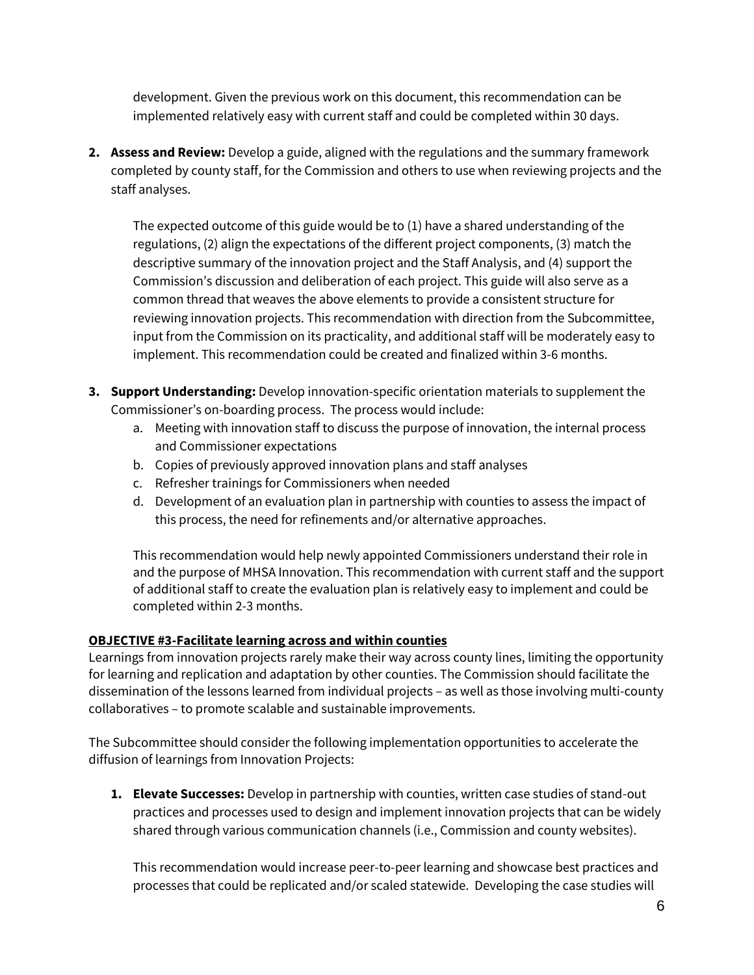development. Given the previous work on this document, this recommendation can be implemented relatively easy with current staff and could be completed within 30 days.

**2. Assess and Review:** Develop a guide, aligned with the regulations and the summary framework completed by county staff, for the Commission and others to use when reviewing projects and the staff analyses.

The expected outcome of this guide would be to (1) have a shared understanding of the regulations, (2) align the expectations of the different project components, (3) match the descriptive summary of the innovation project and the Staff Analysis, and (4) support the Commission's discussion and deliberation of each project. This guide will also serve as a common thread that weaves the above elements to provide a consistent structure for reviewing innovation projects. This recommendation with direction from the Subcommittee, input from the Commission on its practicality, and additional staff will be moderately easy to implement. This recommendation could be created and finalized within 3-6 months.

- **3. Support Understanding:** Develop innovation-specific orientation materials to supplement the Commissioner's on-boarding process. The process would include:
	- a. Meeting with innovation staff to discuss the purpose of innovation, the internal process and Commissioner expectations
	- b. Copies of previously approved innovation plans and staff analyses
	- c. Refresher trainings for Commissioners when needed
	- d. Development of an evaluation plan in partnership with counties to assess the impact of this process, the need for refinements and/or alternative approaches.

This recommendation would help newly appointed Commissioners understand their role in and the purpose of MHSA Innovation. This recommendation with current staff and the support of additional staff to create the evaluation plan is relatively easy to implement and could be completed within 2-3 months.

# **OBJECTIVE #3-Facilitate learning across and within counties**

Learnings from innovation projects rarely make their way across county lines, limiting the opportunity for learning and replication and adaptation by other counties. The Commission should facilitate the dissemination of the lessons learned from individual projects – as well as those involving multi-county collaboratives – to promote scalable and sustainable improvements.

The Subcommittee should consider the following implementation opportunities to accelerate the diffusion of learnings from Innovation Projects:

**1. Elevate Successes:** Develop in partnership with counties, written case studies of stand-out practices and processes used to design and implement innovation projects that can be widely shared through various communication channels (i.e., Commission and county websites).

This recommendation would increase peer-to-peer learning and showcase best practices and processes that could be replicated and/or scaled statewide. Developing the case studies will